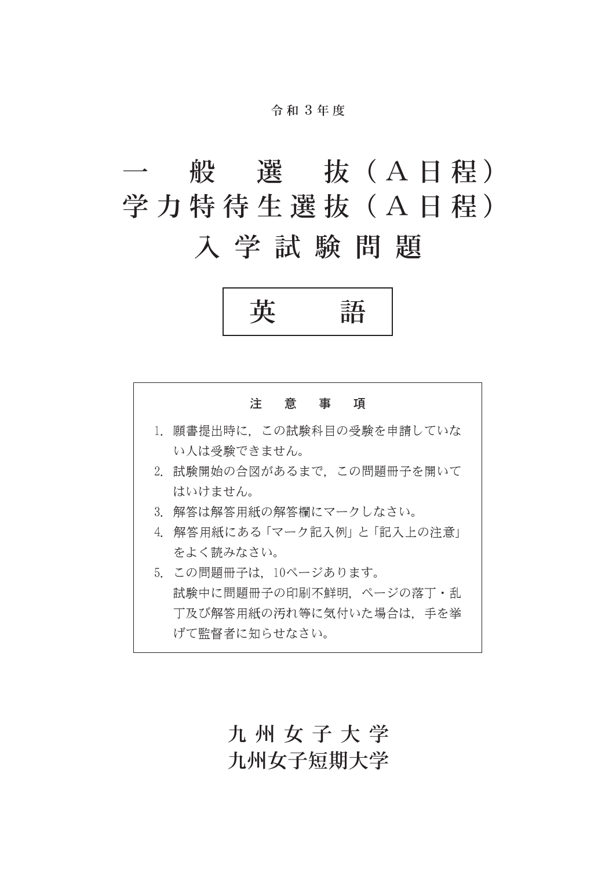#### 令 和 3年 度

# 般 選 抜 (A 日程) 学力特待生選抜(A日程)

## 入学試験問題





### 九州女子大学 九州女子短期大学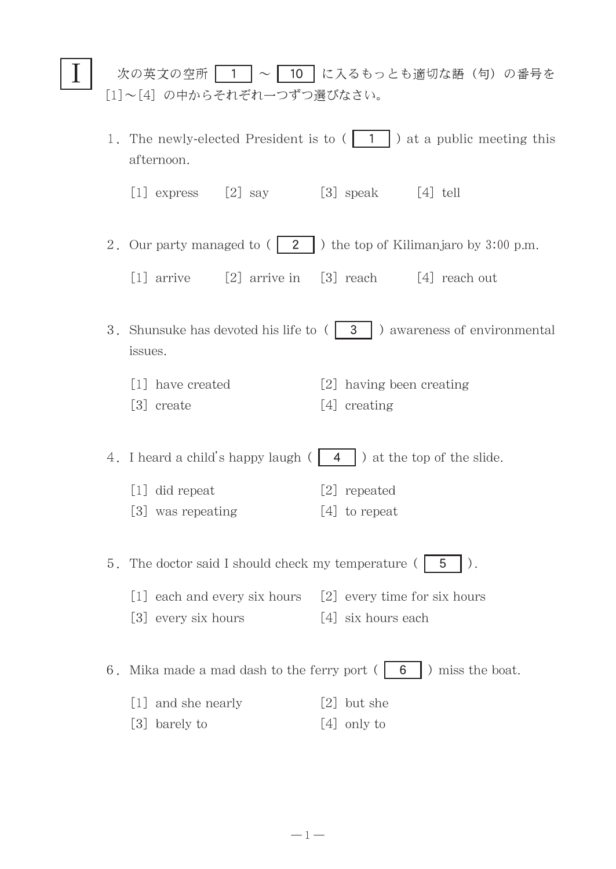|                                                                                          | 次の英文の空所   1  ~   10   に入るもっとも適切な語 (句) の番号を<br>[1]~[4] の中からそれぞれ一つずつ選びなさい。  |                                       |                                                                                                           |  |  |
|------------------------------------------------------------------------------------------|---------------------------------------------------------------------------|---------------------------------------|-----------------------------------------------------------------------------------------------------------|--|--|
|                                                                                          |                                                                           | afternoon.                            | 1. The newly-elected President is to $( \begin{array}{ccc} 1 \\ 1 \end{array} )$ at a public meeting this |  |  |
|                                                                                          |                                                                           | $[2]$ say<br>$[1]$ express            | $[3]$ speak<br>$\lceil 4 \rceil$ tell                                                                     |  |  |
|                                                                                          |                                                                           |                                       | 2. Our party managed to $(2 \mid)$ the top of Kilimanjaro by 3:00 p.m.                                    |  |  |
|                                                                                          |                                                                           | $[1]$ arrive                          | [2] arrive in [3] reach [4] reach out                                                                     |  |  |
| 3. Shunsuke has devoted his life to $( 3 \ 3 \ 1)$ awareness of environmental<br>issues. |                                                                           |                                       |                                                                                                           |  |  |
|                                                                                          |                                                                           | [1] have created<br>[3] create        | [2] having been creating<br>[4] creating                                                                  |  |  |
|                                                                                          | 4. I heard a child's happy laugh $( 4 )$ at the top of the slide.         |                                       |                                                                                                           |  |  |
|                                                                                          |                                                                           | [1] did repeat                        | [2] repeated                                                                                              |  |  |
|                                                                                          |                                                                           | [3] was repeating                     | $[4]$ to repeat                                                                                           |  |  |
|                                                                                          | 5. The doctor said I should check my temperature (<br>5                   |                                       |                                                                                                           |  |  |
|                                                                                          |                                                                           | [1] each and every six hours          | [2] every time for six hours                                                                              |  |  |
|                                                                                          |                                                                           | [3] every six hours                   | [4] six hours each                                                                                        |  |  |
|                                                                                          | ) miss the boat.<br>Mika made a mad dash to the ferry port $($<br>6<br>6. |                                       |                                                                                                           |  |  |
|                                                                                          |                                                                           | and she nearly<br>$\lfloor 1 \rfloor$ | but she<br>$\lfloor 2 \rfloor$                                                                            |  |  |
|                                                                                          |                                                                           | $\lfloor 3 \rfloor$<br>barely to      | only to<br>$\lfloor 4 \rfloor$                                                                            |  |  |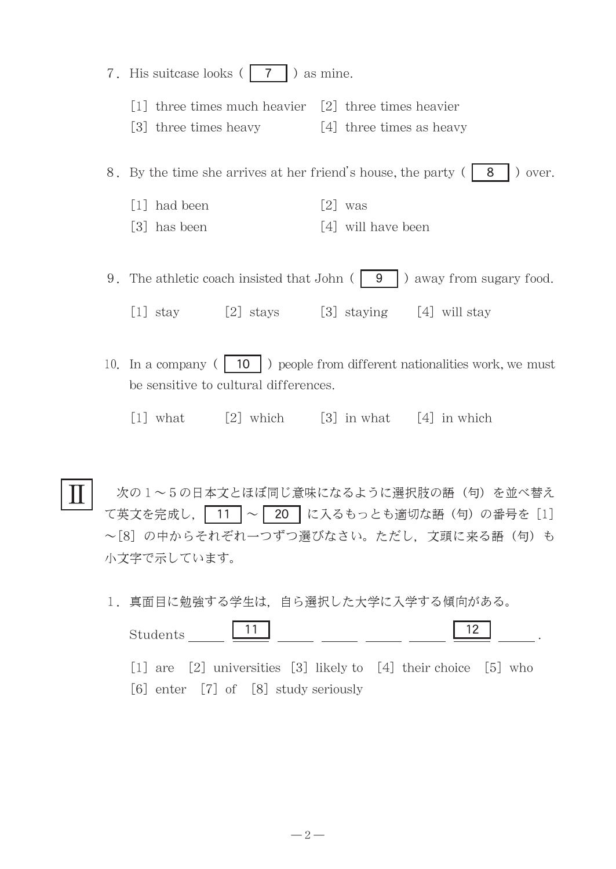7. His suitcase looks  $( 7 \mid )$  as mine.

Ⅱ

- $\lceil 1 \rceil$  three times much heavier  $\lceil 2 \rceil$  three times heavier
- [3] three times heavy [4] three times as heavy

8. By the time she arrives at her friend's house, the party  $( 8 \mid )$  over.

- [1] had been [2] was
- [3] has been [4] will have been

9. The athletic coach insisted that John  $\left( \begin{array}{c} 9 \\ 9 \end{array} \right)$  away from sugary food.

[1] stay  $[2]$  stays  $[3]$  staying  $[4]$  will stay

- 10. In a company ( $\begin{pmatrix} 1 & 10 \\ 0 & \end{pmatrix}$  people from different nationalities work, we must be sensitive to cultural differences.
	- [1] what  $\boxed{2}$  which  $\boxed{3}$  in what  $\boxed{4}$  in which

次の1~5の日本文とほぼ同じ意味になるように選択肢の語(句)を並べ替え て英文を完成し, 11 ~ 20 に入るもっとも適切な語(句)の番号を [1] ~[8]の中からそれぞれ一つずつ選びなさい。ただし、文頭に来る語(句)も 小文字で示しています。

1.真面目に勉強する学生は,自ら選択した大学に入学する傾向がある。

| $\vert$ 11<br>Students                                          | 12 |
|-----------------------------------------------------------------|----|
| [1] are [2] universities [3] likely to [4] their choice [5] who |    |
| $[6]$ enter $[7]$ of $[8]$ study seriously                      |    |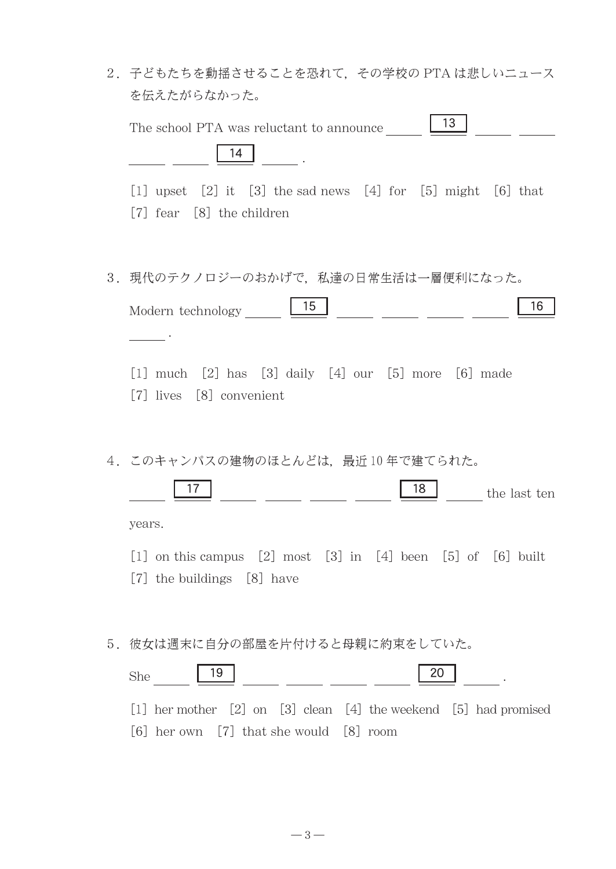|    | 2. 子どもたちを動揺させることを恐れて、その学校の PTA は悲しいニュース<br>を伝えたがらなかった。                                                                               |
|----|--------------------------------------------------------------------------------------------------------------------------------------|
|    | $\vert$ 13<br>The school PTA was reluctant to announce<br>14                                                                         |
|    | $[1]$ upset $[2]$ it $[3]$ the sad news $[4]$ for $[5]$ might $[6]$ that<br>[7] fear [8] the children                                |
|    | 3. 現代のテクノロジーのおかげで、私達の日常生活は一層便利になった。<br>15 <sup>15</sup><br>16<br>Modern technology                                                   |
|    | $[1]$ much $[2]$ has $[3]$ daily $[4]$ our $[5]$ more $[6]$ made<br>[7] lives [8] convenient                                         |
|    | 4. このキャンパスの建物のほとんどは、最近10年で建てられた。<br>17<br>18<br>the last ten<br>years.                                                               |
|    | [1] on this campus [2] most [3] in [4] been [5] of [6] built<br>[7] the buildings [8] have                                           |
| 5. | 彼女は週末に自分の部屋を片付けると母親に約束をしていた。<br>20<br>19<br><b>She</b><br>$[1]$ her mother $[2]$ on $[3]$ clean $[4]$ the weekend $[5]$ had promised |
|    | $[6]$ her own $[7]$ that she would $[8]$ room                                                                                        |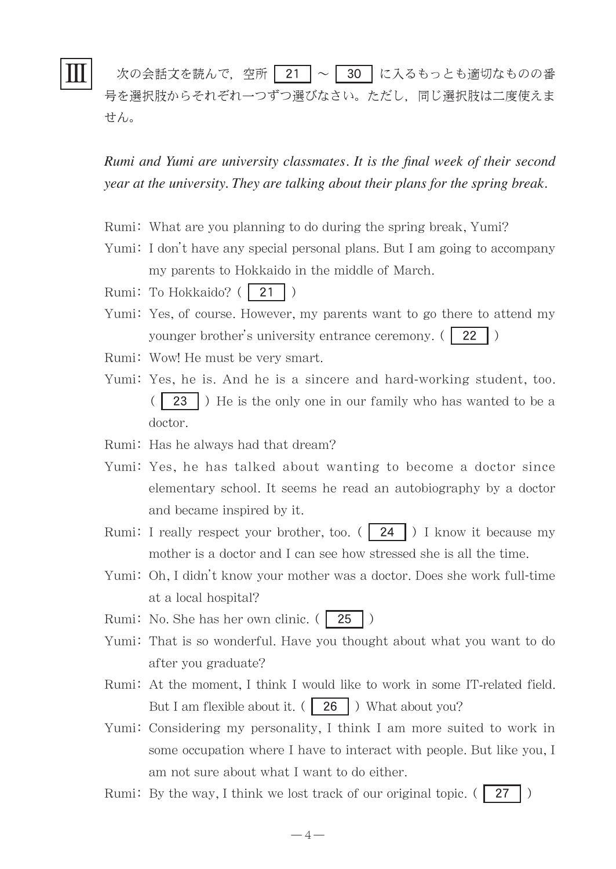# Ⅲ

次の会話文を読んで、空所 | 21 | ~ | 30 | に入るもっとも適切なものの番 号を選択肢からそれぞれ一つずつ選びなさい。ただし,同じ選択肢は二度使えま せん。

*Rumi and Yumi are university classmates. It is the final week of their second year at the university. They are talking about their plans for the spring break.*

- Rumi: What are you planning to do during the spring break, Yumi?
- Yumi: I don't have any special personal plans. But I am going to accompany my parents to Hokkaido in the middle of March.
- Rumi: To Hokkaido? (21)
- Yumi: Yes, of course. However, my parents want to go there to attend my younger brother's university entrance ceremony. (22)
- Rumi: Wow! He must be very smart.
- Yumi: Yes, he is. And he is a sincere and hard-working student, too. ( 23 ) He is the only one in our family who has wanted to be a doctor.
- Rumi: Has he always had that dream?
- Yumi: Yes, he has talked about wanting to become a doctor since elementary school. It seems he read an autobiography by a doctor and became inspired by it.
- Rumi: I really respect your brother, too. ( $\sqrt{24}$ ) I know it because my mother is a doctor and I can see how stressed she is all the time.
- Yumi: Oh, I didn't know your mother was a doctor. Does she work full-time at a local hospital?

Rumi: No. She has her own clinic.  $( 25 )$ 

- Yumi: That is so wonderful. Have you thought about what you want to do after you graduate?
- Rumi: At the moment, I think I would like to work in some IT-related field. But I am flexible about it.  $( 26 )$  What about you?
- Yumi: Considering my personality, I think I am more suited to work in some occupation where I have to interact with people. But like you, I am not sure about what I want to do either.
- Rumi: By the way, I think we lost track of our original topic.  $(27 \mid)$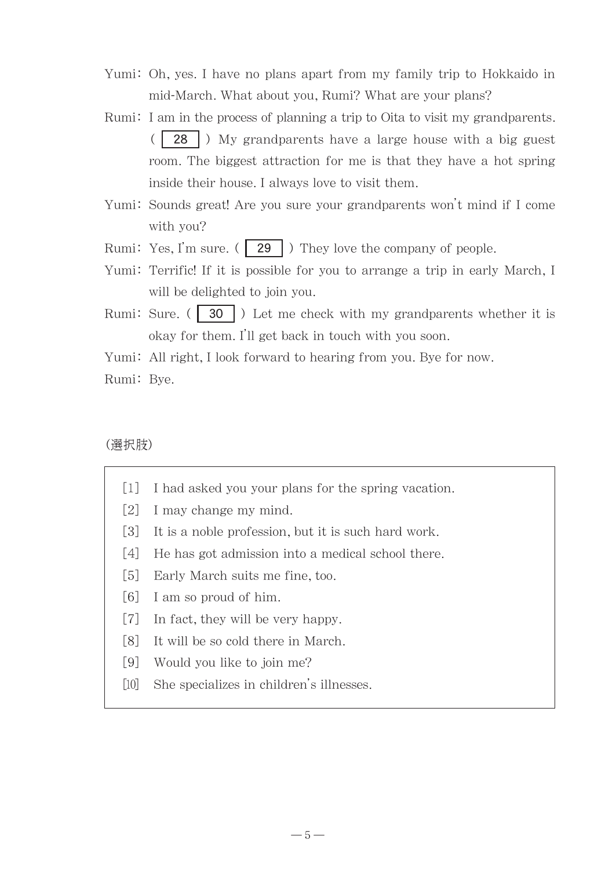- Yumi: Oh, yes. I have no plans apart from my family trip to Hokkaido in mid-March. What about you, Rumi? What are your plans?
- Rumi: I am in the process of planning a trip to Oita to visit my grandparents. (  $\mid$  28  $\mid$  ) My grandparents have a large house with a big guest room. The biggest attraction for me is that they have a hot spring inside their house. I always love to visit them.
- Yumi: Sounds great! Are you sure your grandparents won't mind if I come with you?
- Rumi: Yes, I'm sure.  $( \nvert 29 \nvert )$  They love the company of people.
- Yumi: Terrific! If it is possible for you to arrange a trip in early March, I will be delighted to join you.
- Rumi: Sure. ( $\boxed{30}$ ) Let me check with my grandparents whether it is okay for them. I'll get back in touch with you soon.

Yumi: All right, I look forward to hearing from you. Bye for now.

Rumi: Bye.

(選択肢)

- [1] I had asked you your plans for the spring vacation.
- [2] I may change my mind.
- [3] It is a noble profession, but it is such hard work.
- [4] He has got admission into a medical school there.
- [5] Early March suits me fine, too.
- [6] I am so proud of him.
- [7] In fact, they will be very happy.
- [8] It will be so cold there in March.
- [9] Would you like to join me?
- [10] She specializes in children's illnesses.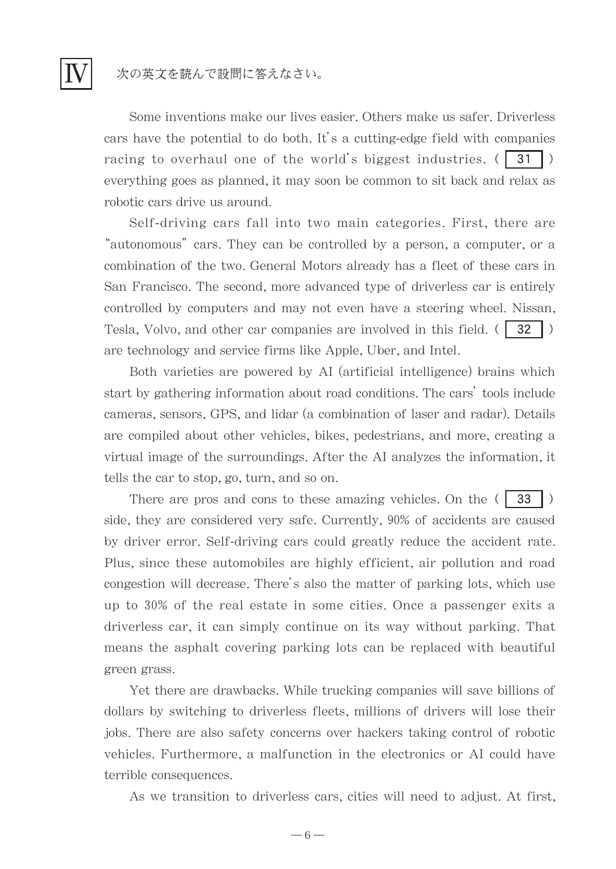### 次の英文を読んで設問に答えなさい。

Ⅳ

Some inventions make our lives easier. Others make us safer. Driverless cars have the potential to do both. It's a cutting-edge field with companies racing to overhaul one of the world's biggest industries.  $( 31 )$ everything goes as planned, it may soon be common to sit back and relax as robotic cars drive us around.

Self-driving cars fall into two main categories. First, there are "autonomous" cars. They can be controlled by a person, a computer, or a combination of the two. General Motors already has a fleet of these cars in San Francisco. The second, more advanced type of driverless car is entirely controlled by computers and may not even have a steering wheel. Nissan, Tesla, Volvo, and other car companies are involved in this field.  $(32 \mid)$ are technology and service firms like Apple, Uber, and Intel.

Both varieties are powered by AI (artificial intelligence) brains which start by gathering information about road conditions. The cars' tools include cameras, sensors, GPS, and lidar (a combination of laser and radar). Details are compiled about other vehicles, bikes, pedestrians, and more, creating a virtual image of the surroundings. After the AI analyzes the information, it tells the car to stop, go, turn, and so on.

There are pros and cons to these amazing vehicles. On the  $( \cdot \cdot \cdot )$ side, they are considered very safe. Currently, 90% of accidents are caused by driver error. Self-driving cars could greatly reduce the accident rate. Plus, since these automobiles are highly efficient, air pollution and road congestion will decrease. There's also the matter of parking lots, which use up to 30% of the real estate in some cities. Once a passenger exits a driverless car, it can simply continue on its way without parking. That means the asphalt covering parking lots can be replaced with beautiful green grass.

Yet there are drawbacks. While trucking companies will save billions of dollars by switching to driverless fleets, millions of drivers will lose their jobs. There are also safety concerns over hackers taking control of robotic vehicles. Furthermore, a malfunction in the electronics or AI could have terrible consequences.

As we transition to driverless cars, cities will need to adjust. At first,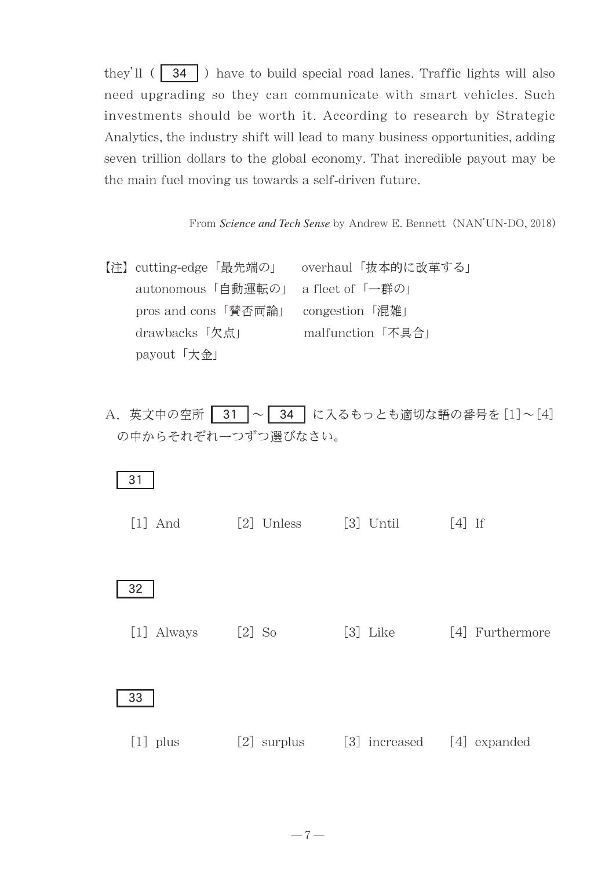they'll  $\left(\begin{array}{c|c} 34 \end{array}\right)$  have to build special road lanes. Traffic lights will also need upgrading so they can communicate with smart vehicles. Such investments should be worth it. According to research by Strategic Analytics, the industry shift will lead to many business opportunities, adding seven trillion dollars to the global economy. That incredible payout may be the main fuel moving us towards a self-driven future.

From *Science and Tech Sense* by Andrew E. Bennett (NAN'UN-DO, 2018)

| 【注】cutting-edge「最先端の」 | overhaul「抜本的に改革する」 |
|-----------------------|--------------------|
| autonomous「自動運転の」     | a fleet of 「一群の」   |
| pros and cons 「賛否両論」  | congestion 「混雑」    |
| drawbacks 「欠点」        | malfunction「不具合」   |
| payout「大金」            |                    |

A. 英文中の空所 31 ~ 34 に入るもっとも適切な語の番号を[1]~[4] の中からそれぞれ一つずつ選びなさい。

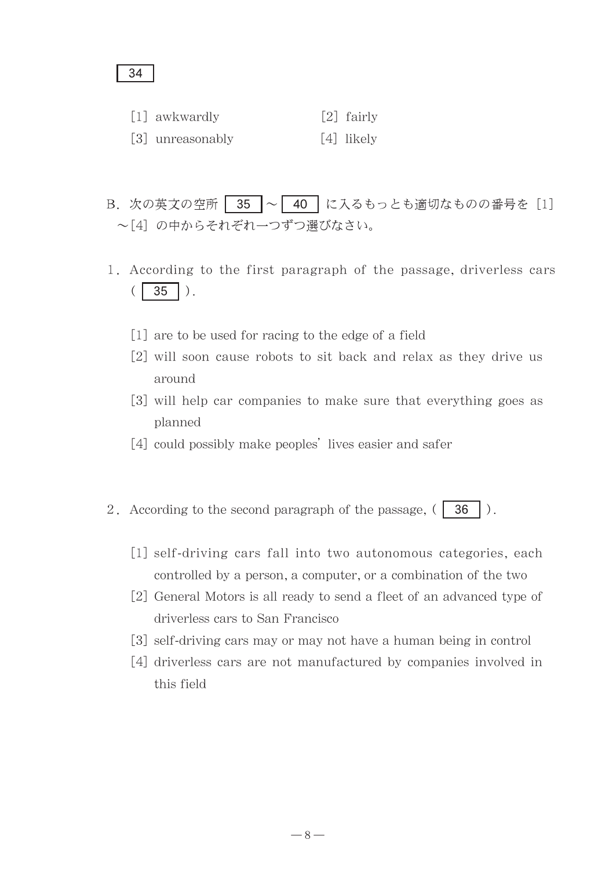### 34

- $\lceil 1 \rceil$  awkwardly  $\lceil 2 \rceil$  fairly
- [3] unreasonably [4] likely
- B. 次の英文の空所 35 ~ 40 に入るもっとも適切なものの番号を [1] ~[4] の中からそれぞれ一つずつ選びなさい。
- 1. According to the first paragraph of the passage, driverless cars  $($  35  $)$ .
	- [1] are to be used for racing to the edge of a field
	- [2] will soon cause robots to sit back and relax as they drive us around
	- [3] will help car companies to make sure that everything goes as planned
	- [4] could possibly make peoples' lives easier and safer
- 2. According to the second paragraph of the passage,  $( 36 \mid ).$ 
	- [1] self-driving cars fall into two autonomous categories, each controlled by a person, a computer, or a combination of the two
	- [2] General Motors is all ready to send a fleet of an advanced type of driverless cars to San Francisco
	- [3] self-driving cars may or may not have a human being in control
	- [4] driverless cars are not manufactured by companies involved in this field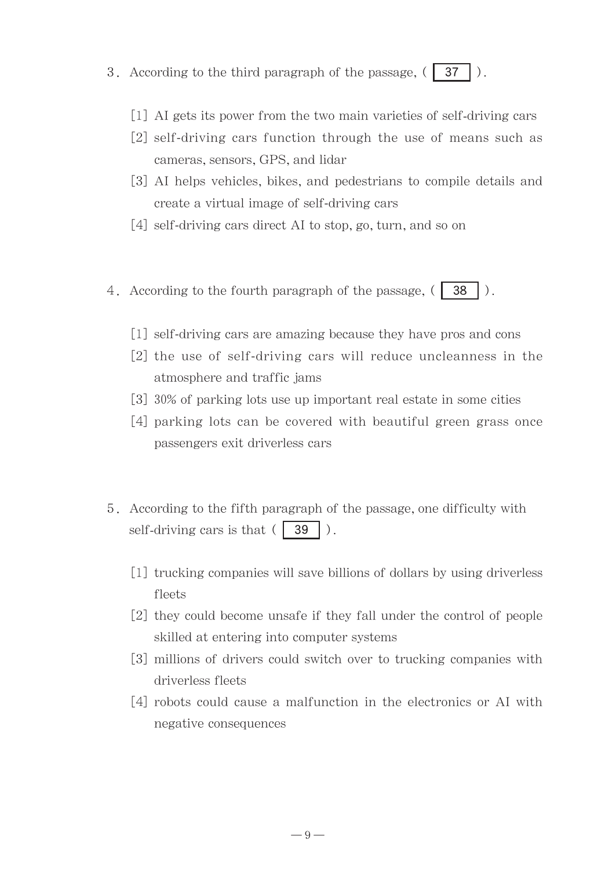- 3. According to the third paragraph of the passage,  $(37 \mid)$ .
	- [1] AI gets its power from the two main varieties of self-driving cars
	- [2] self-driving cars function through the use of means such as cameras, sensors, GPS, and lidar
	- [3] AI helps vehicles, bikes, and pedestrians to compile details and create a virtual image of self-driving cars
	- [4] self-driving cars direct AI to stop, go, turn, and so on
- 4. According to the fourth paragraph of the passage,  $( 38 \mid ).$ 
	- [1] self-driving cars are amazing because they have pros and cons
	- [2] the use of self-driving cars will reduce uncleanness in the atmosphere and traffic jams
	- [3] 30% of parking lots use up important real estate in some cities
	- [4] parking lots can be covered with beautiful green grass once passengers exit driverless cars
- 5. According to the fifth paragraph of the passage, one difficulty with self-driving cars is that  $( 39 \mid ).$ 
	- [1] trucking companies will save billions of dollars by using driverless fleets
	- [2] they could become unsafe if they fall under the control of people skilled at entering into computer systems
	- [3] millions of drivers could switch over to trucking companies with driverless fleets
	- [4] robots could cause a malfunction in the electronics or AI with negative consequences